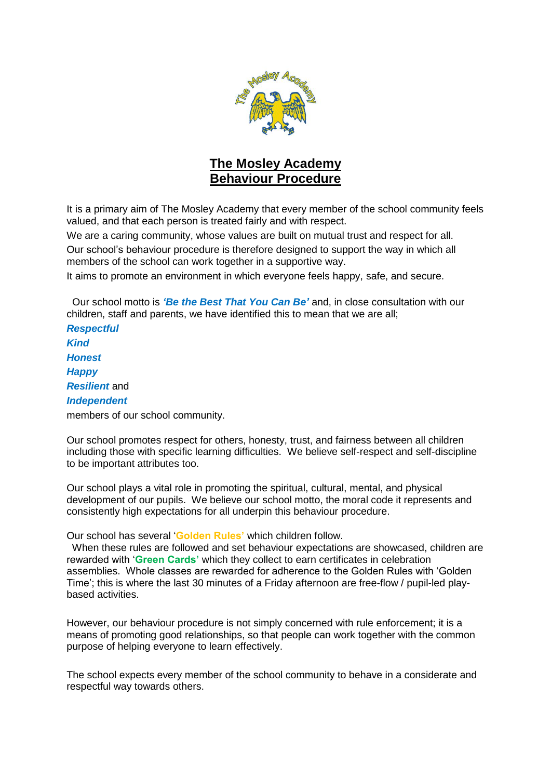

# **The Mosley Academy Behaviour Procedure**

It is a primary aim of The Mosley Academy that every member of the school community feels valued, and that each person is treated fairly and with respect.

We are a caring community, whose values are built on mutual trust and respect for all.

Our school's behaviour procedure is therefore designed to support the way in which all members of the school can work together in a supportive way.

It aims to promote an environment in which everyone feels happy, safe, and secure.

 Our school motto is *'Be the Best That You Can Be'* and, in close consultation with our children, staff and parents, we have identified this to mean that we are all;

*Respectful Kind Honest Happy Resilient* and *Independent* members of our school community.

Our school promotes respect for others, honesty, trust, and fairness between all children including those with specific learning difficulties. We believe self-respect and self-discipline to be important attributes too.

Our school plays a vital role in promoting the spiritual, cultural, mental, and physical development of our pupils. We believe our school motto, the moral code it represents and consistently high expectations for all underpin this behaviour procedure.

Our school has several '**Golden Rules'** which children follow.

 When these rules are followed and set behaviour expectations are showcased, children are rewarded with '**Green Cards'** which they collect to earn certificates in celebration assemblies. Whole classes are rewarded for adherence to the Golden Rules with 'Golden Time'; this is where the last 30 minutes of a Friday afternoon are free-flow / pupil-led playbased activities.

However, our behaviour procedure is not simply concerned with rule enforcement; it is a means of promoting good relationships, so that people can work together with the common purpose of helping everyone to learn effectively.

The school expects every member of the school community to behave in a considerate and respectful way towards others.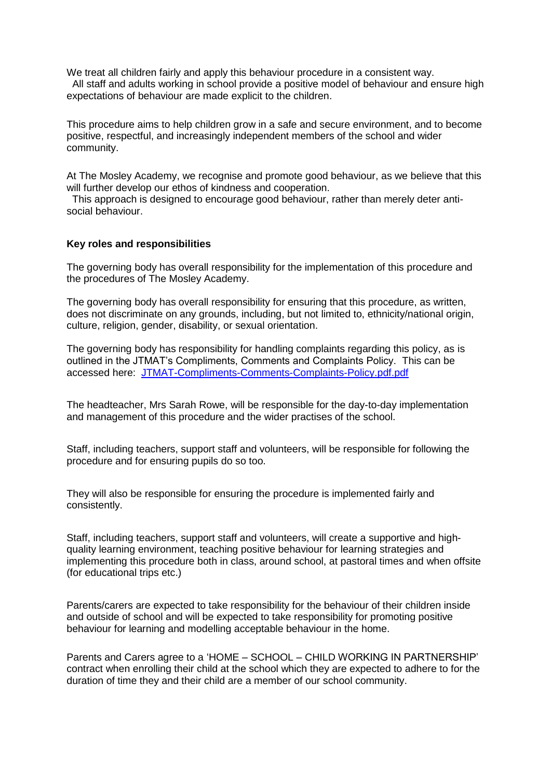We treat all children fairly and apply this behaviour procedure in a consistent way. All staff and adults working in school provide a positive model of behaviour and ensure high expectations of behaviour are made explicit to the children.

This procedure aims to help children grow in a safe and secure environment, and to become positive, respectful, and increasingly independent members of the school and wider community.

At The Mosley Academy, we recognise and promote good behaviour, as we believe that this will further develop our ethos of kindness and cooperation.

 This approach is designed to encourage good behaviour, rather than merely deter antisocial behaviour.

#### **Key roles and responsibilities**

The governing body has overall responsibility for the implementation of this procedure and the procedures of The Mosley Academy.

The governing body has overall responsibility for ensuring that this procedure, as written, does not discriminate on any grounds, including, but not limited to, ethnicity/national origin, culture, religion, gender, disability, or sexual orientation.

The governing body has responsibility for handling complaints regarding this policy, as is outlined in the JTMAT's Compliments, Comments and Complaints Policy. This can be accessed here: [JTMAT-Compliments-Comments-Complaints-Policy.pdf.pdf](https://jtmat.co.uk/wp-content/uploads/2022/05/JTMAT-Compliments-Comments-Complaints-Policy.pdf.pdf)

The headteacher, Mrs Sarah Rowe, will be responsible for the day-to-day implementation and management of this procedure and the wider practises of the school.

Staff, including teachers, support staff and volunteers, will be responsible for following the procedure and for ensuring pupils do so too.

They will also be responsible for ensuring the procedure is implemented fairly and consistently.

Staff, including teachers, support staff and volunteers, will create a supportive and highquality learning environment, teaching positive behaviour for learning strategies and implementing this procedure both in class, around school, at pastoral times and when offsite (for educational trips etc.)

Parents/carers are expected to take responsibility for the behaviour of their children inside and outside of school and will be expected to take responsibility for promoting positive behaviour for learning and modelling acceptable behaviour in the home.

Parents and Carers agree to a 'HOME – SCHOOL – CHILD WORKING IN PARTNERSHIP' contract when enrolling their child at the school which they are expected to adhere to for the duration of time they and their child are a member of our school community.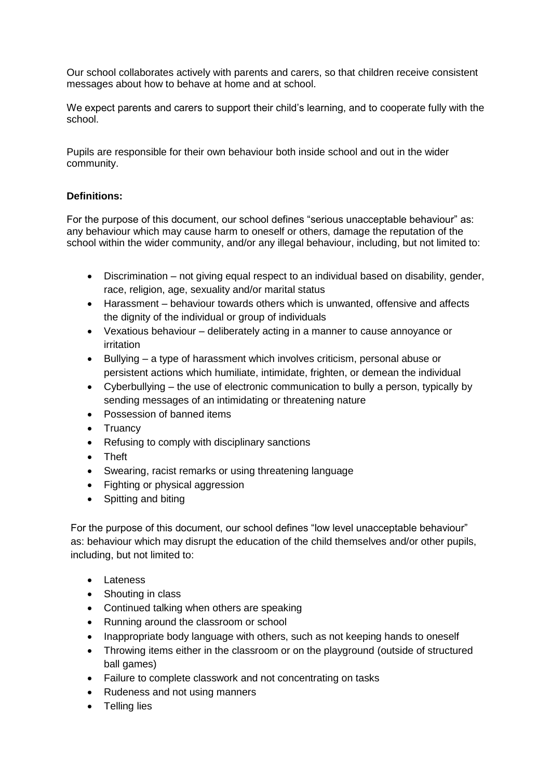Our school collaborates actively with parents and carers, so that children receive consistent messages about how to behave at home and at school.

We expect parents and carers to support their child's learning, and to cooperate fully with the school.

Pupils are responsible for their own behaviour both inside school and out in the wider community.

# **Definitions:**

For the purpose of this document, our school defines "serious unacceptable behaviour" as: any behaviour which may cause harm to oneself or others, damage the reputation of the school within the wider community, and/or any illegal behaviour, including, but not limited to:

- Discrimination not giving equal respect to an individual based on disability, gender, race, religion, age, sexuality and/or marital status
- Harassment behaviour towards others which is unwanted, offensive and affects the dignity of the individual or group of individuals
- Vexatious behaviour deliberately acting in a manner to cause annoyance or irritation
- Bullying a type of harassment which involves criticism, personal abuse or persistent actions which humiliate, intimidate, frighten, or demean the individual
- Cyberbullying the use of electronic communication to bully a person, typically by sending messages of an intimidating or threatening nature
- Possession of banned items
- Truancy
- Refusing to comply with disciplinary sanctions
- Theft
- Swearing, racist remarks or using threatening language
- Fighting or physical aggression
- Spitting and biting

For the purpose of this document, our school defines "low level unacceptable behaviour" as: behaviour which may disrupt the education of the child themselves and/or other pupils, including, but not limited to:

- Lateness
- Shouting in class
- Continued talking when others are speaking
- Running around the classroom or school
- Inappropriate body language with others, such as not keeping hands to oneself
- Throwing items either in the classroom or on the playground (outside of structured ball games)
- Failure to complete classwork and not concentrating on tasks
- Rudeness and not using manners
- Telling lies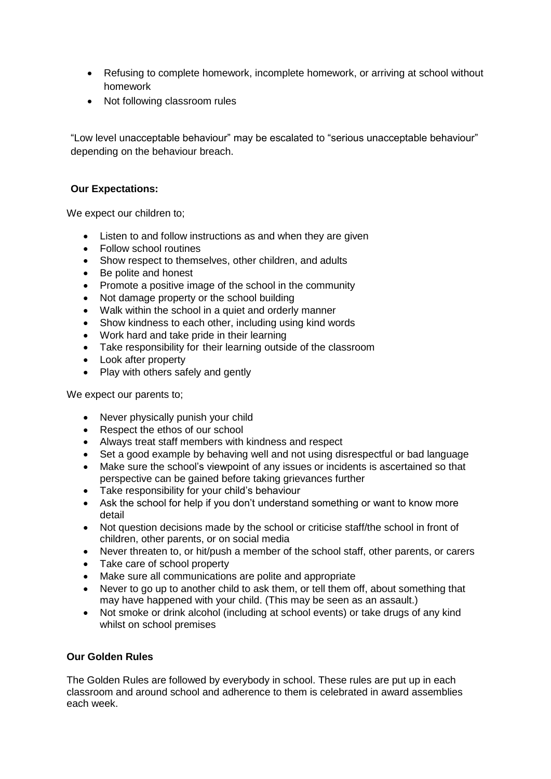- Refusing to complete homework, incomplete homework, or arriving at school without homework
- Not following classroom rules

"Low level unacceptable behaviour" may be escalated to "serious unacceptable behaviour" depending on the behaviour breach.

# **Our Expectations:**

We expect our children to;

- Listen to and follow instructions as and when they are given
- Follow school routines
- Show respect to themselves, other children, and adults
- Be polite and honest
- Promote a positive image of the school in the community
- Not damage property or the school building
- Walk within the school in a quiet and orderly manner
- Show kindness to each other, including using kind words
- Work hard and take pride in their learning
- Take responsibility for their learning outside of the classroom
- Look after property
- Play with others safely and gently

We expect our parents to;

- Never physically punish your child
- Respect the ethos of our school
- Always treat staff members with kindness and respect
- Set a good example by behaving well and not using disrespectful or bad language
- Make sure the school's viewpoint of any issues or incidents is ascertained so that perspective can be gained before taking grievances further
- Take responsibility for your child's behaviour
- Ask the school for help if you don't understand something or want to know more detail
- Not question decisions made by the school or criticise staff/the school in front of children, other parents, or on social media
- Never threaten to, or hit/push a member of the school staff, other parents, or carers
- Take care of school property
- Make sure all communications are polite and appropriate
- Never to go up to another child to ask them, or tell them off, about something that may have happened with your child. (This may be seen as an assault.)
- Not smoke or drink alcohol (including at school events) or take drugs of any kind whilst on school premises

# **Our Golden Rules**

The Golden Rules are followed by everybody in school. These rules are put up in each classroom and around school and adherence to them is celebrated in award assemblies each week.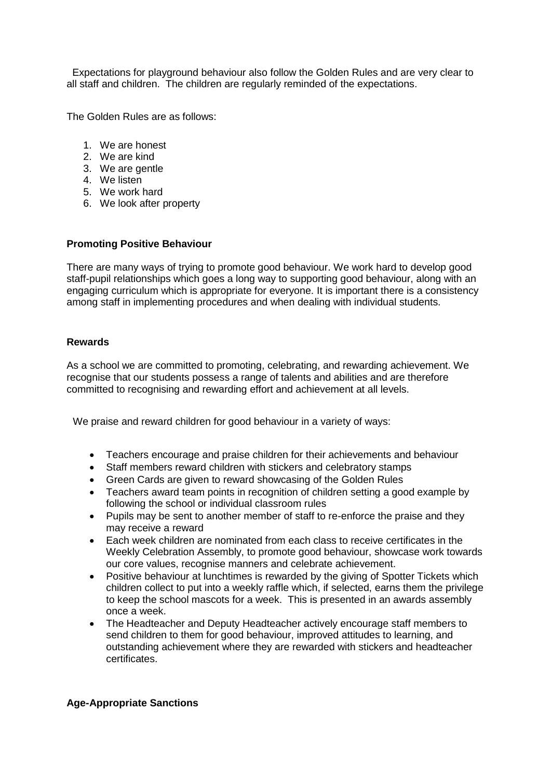Expectations for playground behaviour also follow the Golden Rules and are very clear to all staff and children. The children are regularly reminded of the expectations.

The Golden Rules are as follows:

- 1. We are honest
- 2. We are kind
- 3. We are gentle
- 4. We listen
- 5. We work hard
- 6. We look after property

### **Promoting Positive Behaviour**

There are many ways of trying to promote good behaviour. We work hard to develop good staff-pupil relationships which goes a long way to supporting good behaviour, along with an engaging curriculum which is appropriate for everyone. It is important there is a consistency among staff in implementing procedures and when dealing with individual students.

### **Rewards**

As a school we are committed to promoting, celebrating, and rewarding achievement. We recognise that our students possess a range of talents and abilities and are therefore committed to recognising and rewarding effort and achievement at all levels.

We praise and reward children for good behaviour in a variety of ways:

- Teachers encourage and praise children for their achievements and behaviour
- Staff members reward children with stickers and celebratory stamps
- Green Cards are given to reward showcasing of the Golden Rules
- Teachers award team points in recognition of children setting a good example by following the school or individual classroom rules
- Pupils may be sent to another member of staff to re-enforce the praise and they may receive a reward
- Each week children are nominated from each class to receive certificates in the Weekly Celebration Assembly, to promote good behaviour, showcase work towards our core values, recognise manners and celebrate achievement.
- Positive behaviour at lunchtimes is rewarded by the giving of Spotter Tickets which children collect to put into a weekly raffle which, if selected, earns them the privilege to keep the school mascots for a week. This is presented in an awards assembly once a week.
- The Headteacher and Deputy Headteacher actively encourage staff members to send children to them for good behaviour, improved attitudes to learning, and outstanding achievement where they are rewarded with stickers and headteacher certificates.

#### **Age-Appropriate Sanctions**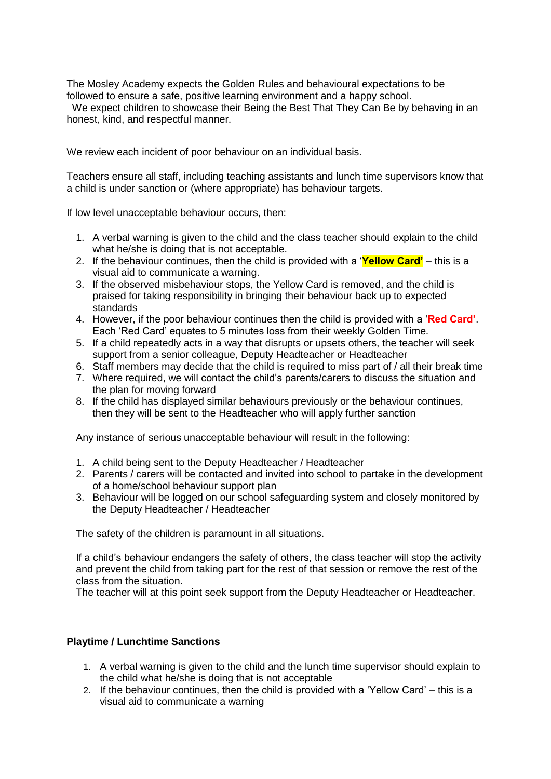The Mosley Academy expects the Golden Rules and behavioural expectations to be followed to ensure a safe, positive learning environment and a happy school.

We expect children to showcase their Being the Best That They Can Be by behaving in an honest, kind, and respectful manner.

We review each incident of poor behaviour on an individual basis.

Teachers ensure all staff, including teaching assistants and lunch time supervisors know that a child is under sanction or (where appropriate) has behaviour targets.

If low level unacceptable behaviour occurs, then:

- 1. A verbal warning is given to the child and the class teacher should explain to the child what he/she is doing that is not acceptable.
- 2. If the behaviour continues, then the child is provided with a '**Yellow Card'** this is a visual aid to communicate a warning.
- 3. If the observed misbehaviour stops, the Yellow Card is removed, and the child is praised for taking responsibility in bringing their behaviour back up to expected standards
- 4. However, if the poor behaviour continues then the child is provided with a '**Red Card'**. Each 'Red Card' equates to 5 minutes loss from their weekly Golden Time.
- 5. If a child repeatedly acts in a way that disrupts or upsets others, the teacher will seek support from a senior colleague, Deputy Headteacher or Headteacher
- 6. Staff members may decide that the child is required to miss part of / all their break time
- 7. Where required, we will contact the child's parents/carers to discuss the situation and the plan for moving forward
- 8. If the child has displayed similar behaviours previously or the behaviour continues, then they will be sent to the Headteacher who will apply further sanction

Any instance of serious unacceptable behaviour will result in the following:

- 1. A child being sent to the Deputy Headteacher / Headteacher
- 2. Parents / carers will be contacted and invited into school to partake in the development of a home/school behaviour support plan
- 3. Behaviour will be logged on our school safeguarding system and closely monitored by the Deputy Headteacher / Headteacher

The safety of the children is paramount in all situations.

If a child's behaviour endangers the safety of others, the class teacher will stop the activity and prevent the child from taking part for the rest of that session or remove the rest of the class from the situation.

The teacher will at this point seek support from the Deputy Headteacher or Headteacher.

## **Playtime / Lunchtime Sanctions**

- 1. A verbal warning is given to the child and the lunch time supervisor should explain to the child what he/she is doing that is not acceptable
- 2. If the behaviour continues, then the child is provided with a 'Yellow Card' this is a visual aid to communicate a warning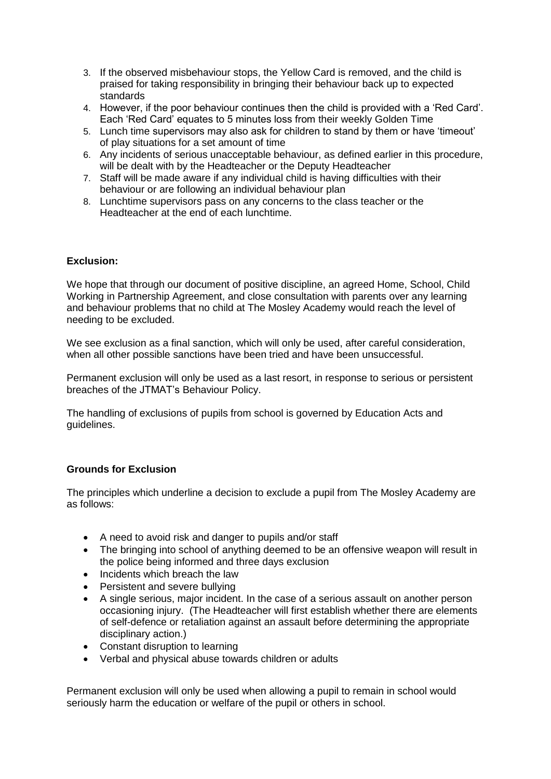- 3. If the observed misbehaviour stops, the Yellow Card is removed, and the child is praised for taking responsibility in bringing their behaviour back up to expected standards
- 4. However, if the poor behaviour continues then the child is provided with a 'Red Card'. Each 'Red Card' equates to 5 minutes loss from their weekly Golden Time
- 5. Lunch time supervisors may also ask for children to stand by them or have 'timeout' of play situations for a set amount of time
- 6. Any incidents of serious unacceptable behaviour, as defined earlier in this procedure, will be dealt with by the Headteacher or the Deputy Headteacher
- 7. Staff will be made aware if any individual child is having difficulties with their behaviour or are following an individual behaviour plan
- 8. Lunchtime supervisors pass on any concerns to the class teacher or the Headteacher at the end of each lunchtime.

# **Exclusion:**

We hope that through our document of positive discipline, an agreed Home, School, Child Working in Partnership Agreement, and close consultation with parents over any learning and behaviour problems that no child at The Mosley Academy would reach the level of needing to be excluded.

We see exclusion as a final sanction, which will only be used, after careful consideration, when all other possible sanctions have been tried and have been unsuccessful.

Permanent exclusion will only be used as a last resort, in response to serious or persistent breaches of the JTMAT's Behaviour Policy.

The handling of exclusions of pupils from school is governed by Education Acts and guidelines.

## **Grounds for Exclusion**

The principles which underline a decision to exclude a pupil from The Mosley Academy are as follows:

- A need to avoid risk and danger to pupils and/or staff
- The bringing into school of anything deemed to be an offensive weapon will result in the police being informed and three days exclusion
- Incidents which breach the law
- Persistent and severe bullying
- A single serious, major incident. In the case of a serious assault on another person occasioning injury. (The Headteacher will first establish whether there are elements of self-defence or retaliation against an assault before determining the appropriate disciplinary action.)
- Constant disruption to learning
- Verbal and physical abuse towards children or adults

Permanent exclusion will only be used when allowing a pupil to remain in school would seriously harm the education or welfare of the pupil or others in school.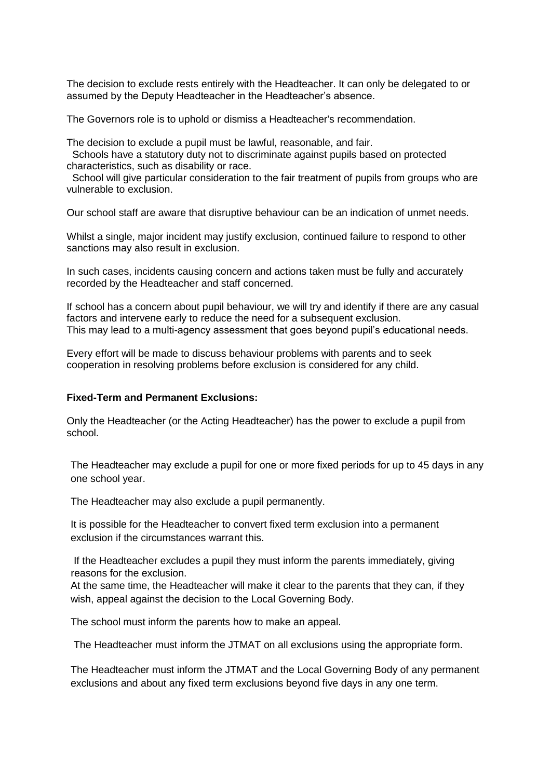The decision to exclude rests entirely with the Headteacher. It can only be delegated to or assumed by the Deputy Headteacher in the Headteacher's absence.

The Governors role is to uphold or dismiss a Headteacher's recommendation.

The decision to exclude a pupil must be lawful, reasonable, and fair.

 Schools have a statutory duty not to discriminate against pupils based on protected characteristics, such as disability or race.

School will give particular consideration to the fair treatment of pupils from groups who are vulnerable to exclusion.

Our school staff are aware that disruptive behaviour can be an indication of unmet needs.

Whilst a single, major incident may justify exclusion, continued failure to respond to other sanctions may also result in exclusion.

In such cases, incidents causing concern and actions taken must be fully and accurately recorded by the Headteacher and staff concerned.

If school has a concern about pupil behaviour, we will try and identify if there are any casual factors and intervene early to reduce the need for a subsequent exclusion. This may lead to a multi-agency assessment that goes beyond pupil's educational needs.

Every effort will be made to discuss behaviour problems with parents and to seek cooperation in resolving problems before exclusion is considered for any child.

#### **Fixed-Term and Permanent Exclusions:**

Only the Headteacher (or the Acting Headteacher) has the power to exclude a pupil from school.

The Headteacher may exclude a pupil for one or more fixed periods for up to 45 days in any one school year.

The Headteacher may also exclude a pupil permanently.

It is possible for the Headteacher to convert fixed term exclusion into a permanent exclusion if the circumstances warrant this.

If the Headteacher excludes a pupil they must inform the parents immediately, giving reasons for the exclusion.

At the same time, the Headteacher will make it clear to the parents that they can, if they wish, appeal against the decision to the Local Governing Body.

The school must inform the parents how to make an appeal.

The Headteacher must inform the JTMAT on all exclusions using the appropriate form.

The Headteacher must inform the JTMAT and the Local Governing Body of any permanent exclusions and about any fixed term exclusions beyond five days in any one term.